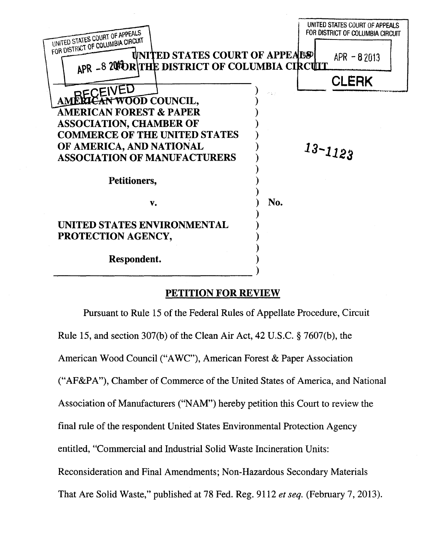

#### **PETITION FOR REVIEW**

Pursuant to Rule 15 of the Federal Rules of Appellate Procedure, Circuit Rule 15, and section 307(b) of the Clean Air Act, 42 U.S.C. § 7607(b), the American Wood Council ("AWC"), American Forest & Paper Association ("AF&PA"), Chamber of Commerce of the United States of America, and National Association of Manufacturers ("NAM") hereby petition this Court to review the final rule of the respondent United States Environmental Protection Agency entitled, "Commercial and Industrial Solid Waste Incineration Units: Reconsideration and Final Amendments; Non-Hazardous Secondary Materials That Are Solid Waste," published at 78 Fed. Reg. 9112 *et seq.* (February 7, 2013).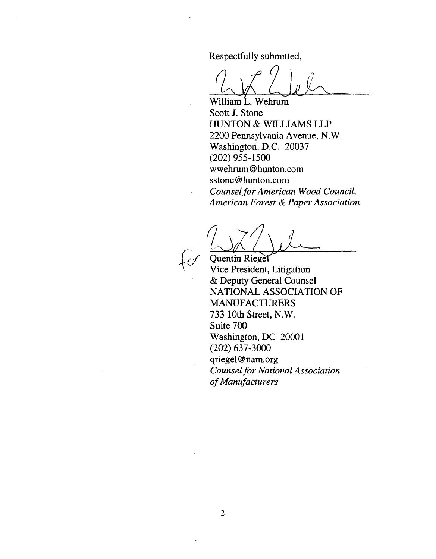Respectfully submitted,

 $\Delta$   $\Delta$   $\Delta$ 

William L. Wehrum Scott J. Stone HUNTON & WILLIAMS LLP 2200 Pennsylvania Avenue, N.W. Washington, D.C. 20037 (202) 955-1500 wwehrum@ hunton.com sstone@ hunton.com *Counsel for American Wood Council, American Forest* & *Paper Association* 

Quentin Riegel<br>Vice President, Litigation & Deputy General Counsel NATIONAL ASSOCIATION OF MANUFACTURERS 733 lOth Street, N.W. Suite 700 Washington, DC 20001 (202) 637-3000 qriegel @nam.org *Counsel for National Association of Manufacturers*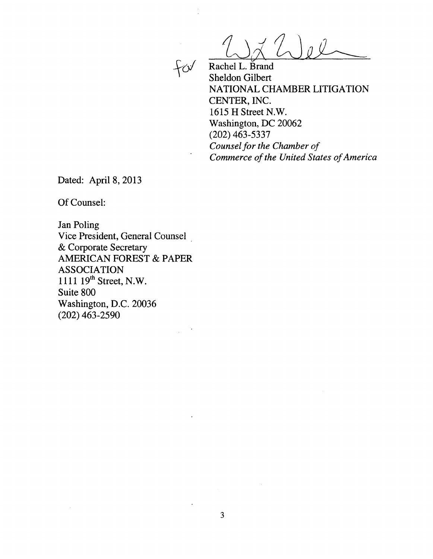$\frac{1}{\text{thel L. Brand}}$ 



Rachel L. Brand Sheldon Gilbert NATIONAL CHAMBER LITIGATION CENTER, INC. 1615 H Street N.W. Washington, DC 20062 (202) 463-5337 *Counsel for the Chamber of Commerce of the United States of America* 

Dated: April 8, 2013

Of Counsel:

Jan Poling Vice President, General Counsel & Corporate Secretary AMERICAN FOREST & PAPER ASSOCIATION 1111 19<sup>th</sup> Street, N.W. Suite 800 Washington, D.C. 20036 (202) 463-2590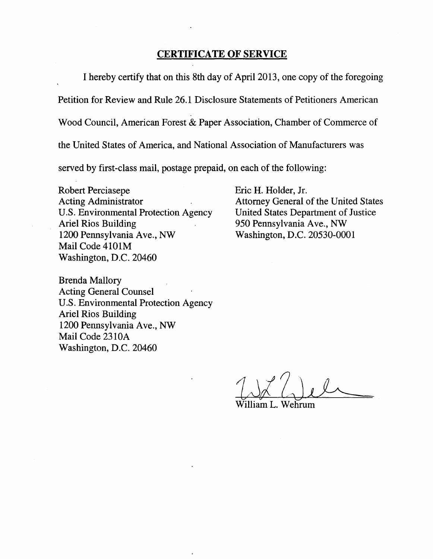### **CERTIFICATE OF SERVICE**

I hereby certify that on this 8th day of April2013, one copy of the foregoing Petition for Review and Rule 26.1 Disclosure Statements of Petitioners American Wood Council, American Forest & Paper Association, Chamber of Commerce of

the United States of America, and National Association of Manufacturers was

served by first-class mail, postage prepaid, on each of the following:

Robert Perciasepe Acting Administrator U.S. Environmental Protection Agency Ariel Rios Building 1200 Pennsylvania Ave., NW Mail Code 4101M Washington, D.C. 20460

Brenda Mallory Acting General Counsel U.S. Environmental Protection Agency Ariel Rios Building 1200 Pennsylvania Ave., NW Mail Code 2310A Washington, D.C. 20460

Eric H. Holder, Jr. Attorney General of the United States United States Department of Justice 950 Pennsylvania Ave., NW Washington, D.C. 20530-0001

Villiam L. Wehrum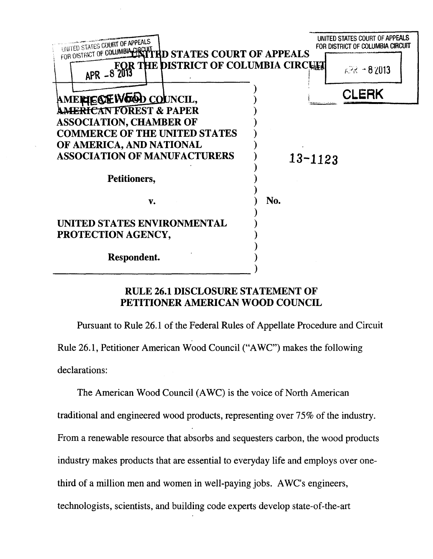

# RULE 26.1 DISCLOSURE STATEMENT OF PETITIONER AMERICAN WOOD COUNCIL

Pursuant to Rule 26.1 of the Federal Rules of Appellate Procedure and Circuit Rule 26.1, Petitioner American Wood Council ("AWC") makes the following declarations:

The American Wood Council (AWC) is the voice of North American traditional and engineered wood products, representing over 75% of the industry. From a renewable resource that absorbs and sequesters carbon, the wood products industry makes products that are essential to everyday life and employs over onethird of a million men and women in well-paying jobs. AWC's engineers, technologists, scientists, and building code experts develop state-of-the-art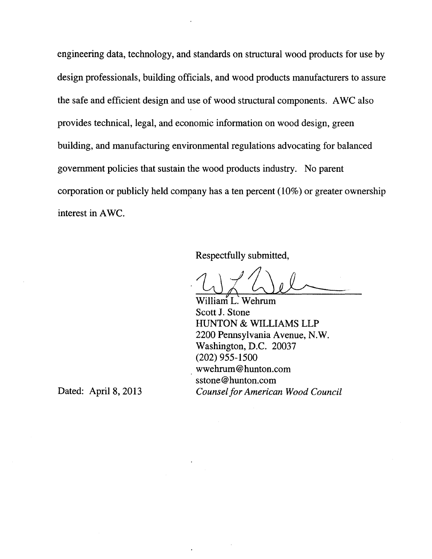engineering data, technology, and standards on structural wood products for use by design professionals, building officials, and wood products manufacturers to assure the safe and efficient design and use of wood structural components. A WC also provides technical, legal, and economic information on wood design, green building, and manufacturing environmental regulations advocating for balanced government policies that sustain the wood products industry. No parent corporation or publicly held company has a ten percent ( 10%) or greater ownership interest in AWC.

Respectfully submitted,

William L. Wehrum Scott J. Stone HUNTON & WILLIAMS LLP 2200 Pennsylvania Avenue, N.W. Washington, D.C. 20037 (202) 955-1500 wwehrum @hunton.com sstone@ hunton.com *Counsel for American Wood Council*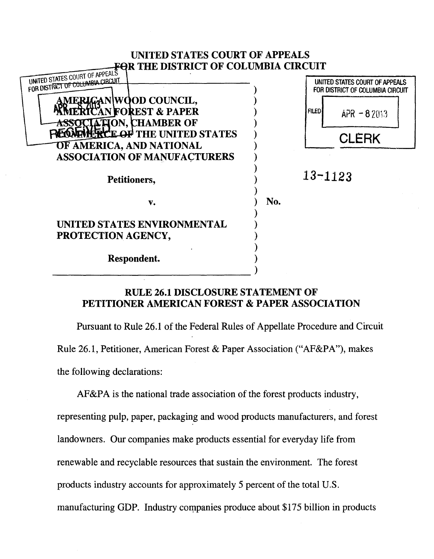## UNITED STATES COURT OF APPEALS EAR THE DISTRICT OF COLUMBIA CIRCUIT

| UNITED STATES COURT OF APPEALS<br>FOR DISTRICT OF COLUMBIA CIRCUIT                                                                                 |     | UNITED STATES COURT OF APPEALS<br>FOR DISTRICT OF COLUMBIA CIRCUIT |
|----------------------------------------------------------------------------------------------------------------------------------------------------|-----|--------------------------------------------------------------------|
| GANWOOD COUNCIL,<br><b>CANFOREST &amp; PAPER</b><br><b>TATION, CHAMBER OF</b><br><b>CE OF THE UNITED STATES</b><br><b>OF AMERICA, AND NATIONAL</b> |     | <b>FILED</b><br>$APR = 82013$<br><b>CLERK</b>                      |
| <b>ASSOCIATION OF MANUFACTURERS</b>                                                                                                                |     |                                                                    |
| Petitioners,                                                                                                                                       |     | $13 - 1123$                                                        |
| v.                                                                                                                                                 | No. |                                                                    |
| UNITED STATES ENVIRONMENTAL<br>PROTECTION AGENCY,                                                                                                  |     |                                                                    |
| Respondent.                                                                                                                                        |     |                                                                    |

# RULE 26.1 DISCLOSURE STATEMENT OF PETITIONER AMERICAN FOREST & PAPER ASSOCIATION

Pursuant to Rule 26.1 of the Federal Rules of Appellate Procedure and Circuit Rule 26.1, Petitioner, American Forest & Paper Association ("AF&PA"), makes the following declarations:

AF&PA is the national trade association of the forest products industry, representing pulp, paper, packaging and wood products manufacturers, and forest landowners. Our companies make products essential for everyday life from renewable and recyclable resources that sustain the environment. The forest products industry accounts for approximately 5 percent of the total U.S. manufacturing GDP. Industry companies produce about \$175 billion in products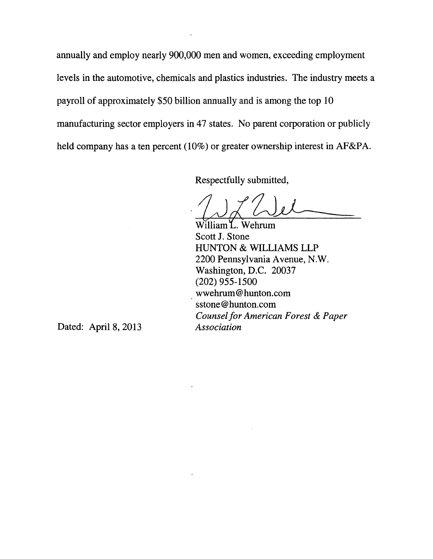annually and employ nearly 900,000 men and women, exceeding employment levels in the automotive, chemicals and plastics industries. The industry meets a payroll of approximately \$50 billion annually and is among the top 10 manufacturing sector employers in 47 states. No parent corporation or publicly held company has a ten percent (10%) or greater ownership interest in AF&PA.

Respectfully submitted,

William L. Wehrum Scott J. Stone HUNTON & WILLIAMS LLP 2200 Pennsylvania Avenue, N.W. Washington, D.C. 20037 (202) 955-1500 wwehrum @hunton.com sstone@ hunton.com *Counsel for American Forest* & *Paper Association*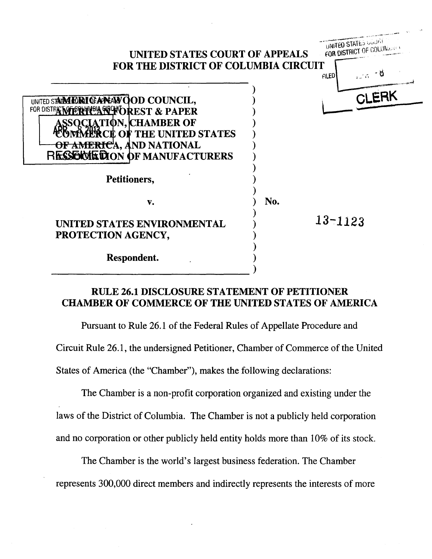

# RULE 26.1 DISCLOSURE STATEMENT OF PETITIONER CHAMBER OF COMMERCE OF THE UNITED STATES OF AMERICA

Pursuant to Rule 26.1 of the Federal Rules of Appellate Procedure and Circuit Rule 26.1, the undersigned Petitioner, Chamber of Commerce of the United States of America (the "Chamber"), makes the following declarations:

The Chamber is a non-profit corporation organized and existing under the laws of the District of Columbia. The Chamber is not a publicly held corporation and no corporation or other publicly held entity holds more than 10% of its stock.

The Chamber is the world's largest business federation. The Chamber represents 300,000 direct members and indirectly represents the interests of more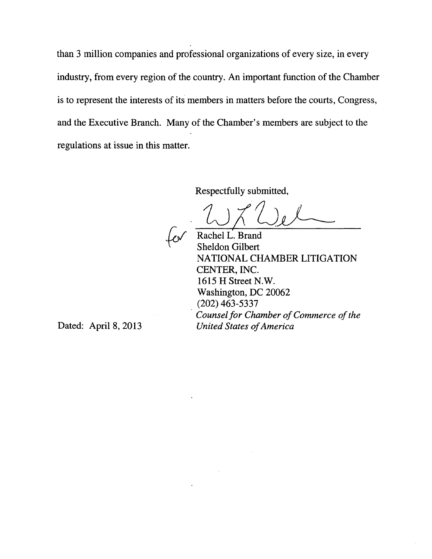than 3 million companies and professional organizations of every size, in every industry, from every region of the country. An important function of the Chamber is to represent the interests of its members in matters before the courts, Congress, and the Executive Branch. Many of the Chamber's members are subject to the regulations at issue in this matter.

Respectfully submitted,

Lev<sup> Rachel L. Brand</sup>

Sheldon Gilbert NATIONAL CHAMBER LITIGATION CENTER, INC. 1615 H Street N.W. Washington, DC 20062 (202) 463-5337 *Counsel for Chamber of Commerce of the United States of America*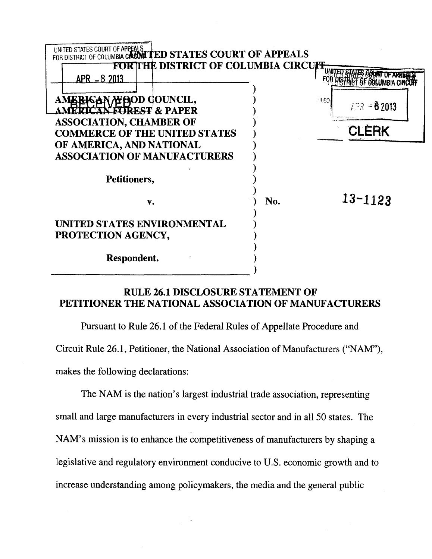

# RULE 26.1 DISCLOSURE STATEMENT OF PETITIONER THE NATIONAL ASSOCIATION OF MANUFACTURERS

Pursuant to Rule 26.1 of the Federal Rules of Appellate Procedure and Circuit Rule 26.1, Petitioner, the National Association of Manufacturers ("NAM"), makes the following declarations:

The NAM is the nation's largest industrial trade association, representing small and large manufacturers in every industrial sector and in all 50 states. The NAM's mission is to enhance the competitiveness of manufacturers by shaping a legislative and regulatory environment conducive to U.S. economic growth and to increase understanding among policymakers, the media and the general public